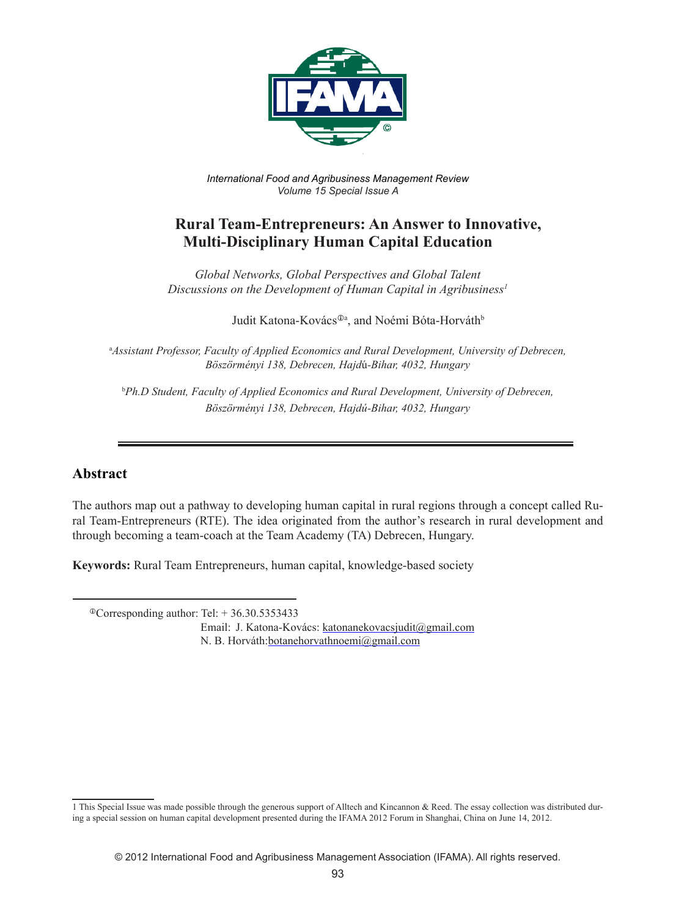

*International Food and Agribusiness Management Review Volume 15 Special Issue A*

# **Rural Team-Entrepreneurs: An Answer to Innovative, Multi-Disciplinary Human Capital Education**

*Global Networks, Global Perspectives and Global Talent Discussions on the Development of Human Capital in Agribusiness1*

Judit Katona-Kovács<sup>®a</sup>, and Noémi Bóta-Horváth<sup>b</sup>

a *Assistant Professor, Faculty of Applied Economics and Rural Development, University of Debrecen, Böszörményi 138, Debrecen, Hajd*ú*-Bihar, 4032, Hungary*

<sup>b</sup>Ph.D Student, Faculty of Applied Economics and Rural Development, University of Debrecen, *Böszörményi 138, Debrecen, Hajdú-Bihar, 4032, Hungary*

### **Abstract**

The authors map out a pathway to developing human capital in rural regions through a concept called Rural Team-Entrepreneurs (RTE). The idea originated from the author's research in rural development and through becoming a team-coach at the Team Academy (TA) Debrecen, Hungary.

**Keywords:** Rural Team Entrepreneurs, human capital, knowledge-based society

 $^{\circ}$ Corresponding author: Tel: + 36.30.5353433

Email: J. Katona-Kovács: katonanekovacsjudit@gmail.com N. B. Horváth:botanehorvathnoemi@gmail.com

<sup>1</sup> This Special Issue was made possible through the generous support of Alltech and Kincannon & Reed. The essay collection was distributed during a special session on human capital development presented during the IFAMA 2012 Forum in Shanghai, China on June 14, 2012.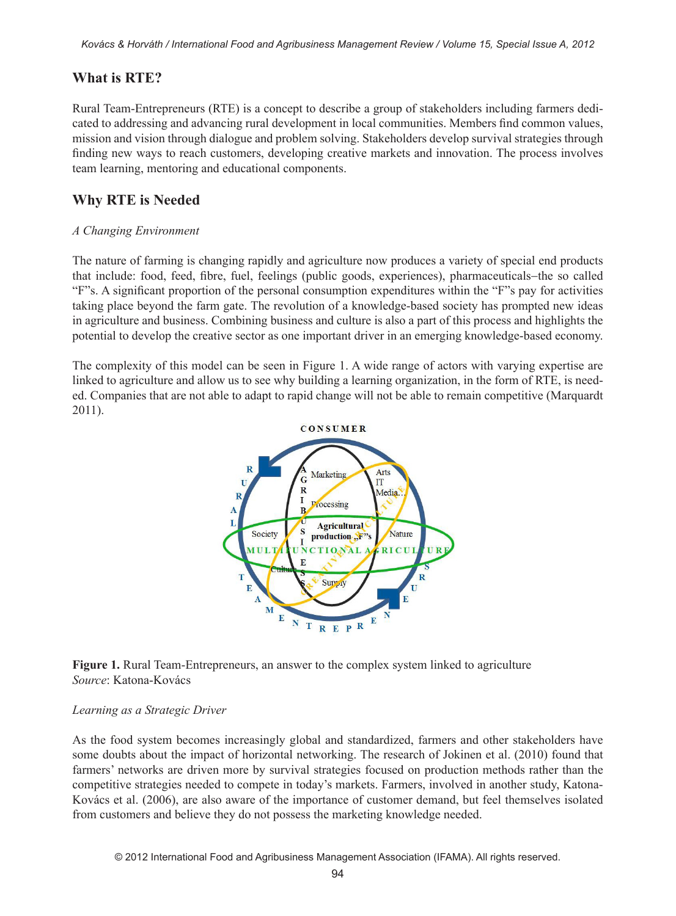## **What is RTE?**

Rural Team-Entrepreneurs (RTE) is a concept to describe a group of stakeholders including farmers dedicated to addressing and advancing rural development in local communities. Members find common values, mission and vision through dialogue and problem solving. Stakeholders develop survival strategies through finding new ways to reach customers, developing creative markets and innovation. The process involves team learning, mentoring and educational components.

# **Why RTE is Needed**

#### *A Changing Environment*

The nature of farming is changing rapidly and agriculture now produces a variety of special end products that include: food, feed, fibre, fuel, feelings (public goods, experiences), pharmaceuticals−the so called "F"s. A significant proportion of the personal consumption expenditures within the "F"s pay for activities taking place beyond the farm gate. The revolution of a knowledge-based society has prompted new ideas in agriculture and business. Combining business and culture is also a part of this process and highlights the potential to develop the creative sector as one important driver in an emerging knowledge-based economy.

The complexity of this model can be seen in Figure 1. A wide range of actors with varying expertise are linked to agriculture and allow us to see why building a learning organization, in the form of RTE, is needed. Companies that are not able to adapt to rapid change will not be able to remain competitive (Marquardt 2011).



**Figure 1.** Rural Team-Entrepreneurs, an answer to the complex system linked to agriculture *Source*: Katona-Kovács

#### *Learning as a Strategic Driver*

As the food system becomes increasingly global and standardized, farmers and other stakeholders have some doubts about the impact of horizontal networking. The research of Jokinen et al. (2010) found that farmers' networks are driven more by survival strategies focused on production methods rather than the competitive strategies needed to compete in today's markets. Farmers, involved in another study, Katona-Kovács et al. (2006), are also aware of the importance of customer demand, but feel themselves isolated from customers and believe they do not possess the marketing knowledge needed.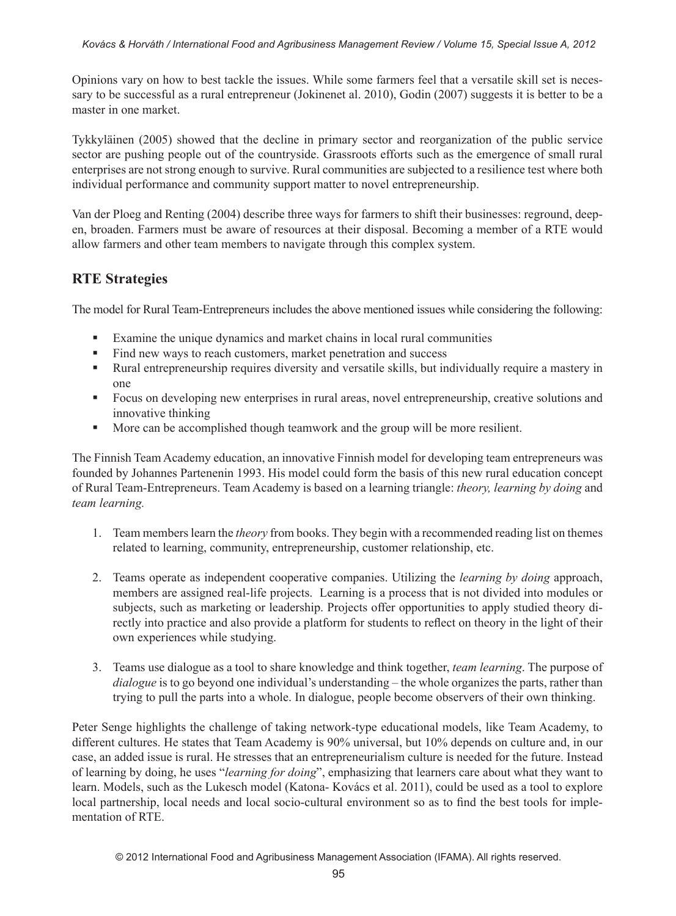Opinions vary on how to best tackle the issues. While some farmers feel that a versatile skill set is necessary to be successful as a rural entrepreneur (Jokinenet al. 2010), Godin (2007) suggests it is better to be a master in one market.

Tykkyläinen (2005) showed that the decline in primary sector and reorganization of the public service sector are pushing people out of the countryside. Grassroots efforts such as the emergence of small rural enterprises are not strong enough to survive. Rural communities are subjected to a resilience test where both individual performance and community support matter to novel entrepreneurship.

Van der Ploeg and Renting (2004) describe three ways for farmers to shift their businesses: reground, deepen, broaden. Farmers must be aware of resources at their disposal. Becoming a member of a RTE would allow farmers and other team members to navigate through this complex system.

## **RTE Strategies**

The model for Rural Team-Entrepreneurs includes the above mentioned issues while considering the following:

- Examine the unique dynamics and market chains in local rural communities
- Find new ways to reach customers, market penetration and success
- Rural entrepreneurship requires diversity and versatile skills, but individually require a mastery in one
- Focus on developing new enterprises in rural areas, novel entrepreneurship, creative solutions and innovative thinking
- More can be accomplished though teamwork and the group will be more resilient.

The Finnish Team Academy education, an innovative Finnish model for developing team entrepreneurs was founded by Johannes Partenenin 1993. His model could form the basis of this new rural education concept of Rural Team-Entrepreneurs. Team Academy is based on a learning triangle: *theory, learning by doing* and *team learning.*

- 1. Team members learn the *theory* from books. They begin with a recommended reading list on themes related to learning, community, entrepreneurship, customer relationship, etc.
- 2. Teams operate as independent cooperative companies. Utilizing the *learning by doing* approach, members are assigned real-life projects. Learning is a process that is not divided into modules or subjects, such as marketing or leadership. Projects offer opportunities to apply studied theory directly into practice and also provide a platform for students to reflect on theory in the light of their own experiences while studying.
- 3. Teams use dialogue as a tool to share knowledge and think together, *team learning*. The purpose of *dialogue* is to go beyond one individual's understanding – the whole organizes the parts, rather than trying to pull the parts into a whole. In dialogue, people become observers of their own thinking.

Peter Senge highlights the challenge of taking network-type educational models, like Team Academy, to different cultures. He states that Team Academy is 90% universal, but 10% depends on culture and, in our case, an added issue is rural. He stresses that an entrepreneurialism culture is needed for the future. Instead of learning by doing, he uses "*learning for doing*", emphasizing that learners care about what they want to learn. Models, such as the Lukesch model (Katona- Kovács et al. 2011), could be used as a tool to explore local partnership, local needs and local socio-cultural environment so as to find the best tools for implementation of RTE.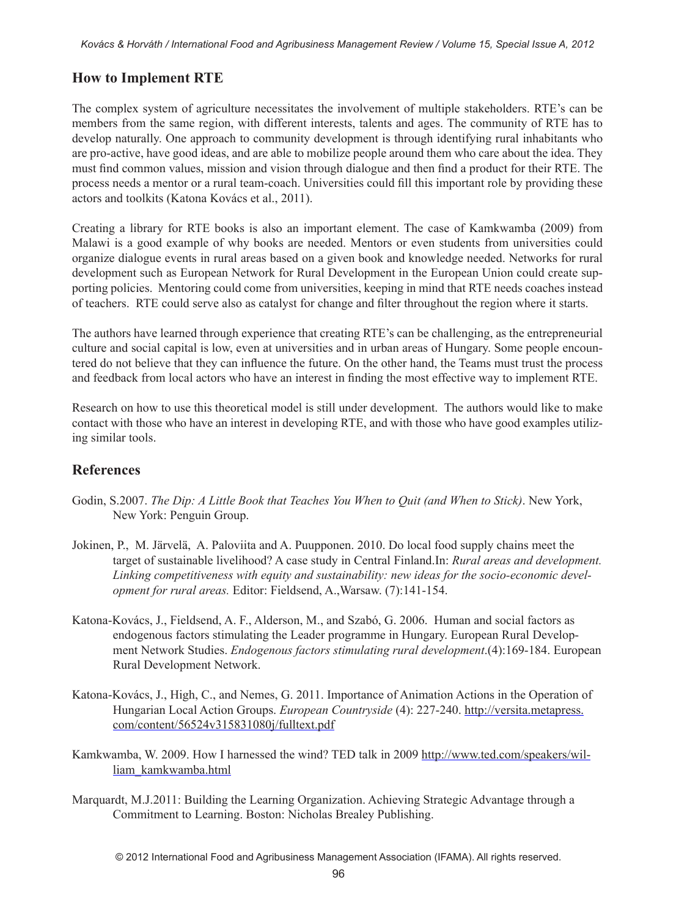## **How to Implement RTE**

The complex system of agriculture necessitates the involvement of multiple stakeholders. RTE's can be members from the same region, with different interests, talents and ages. The community of RTE has to develop naturally. One approach to community development is through identifying rural inhabitants who are pro-active, have good ideas, and are able to mobilize people around them who care about the idea. They must find common values, mission and vision through dialogue and then find a product for their RTE. The process needs a mentor or a rural team-coach. Universities could fill this important role by providing these actors and toolkits (Katona Kovács et al., 2011).

Creating a library for RTE books is also an important element. The case of Kamkwamba (2009) from Malawi is a good example of why books are needed. Mentors or even students from universities could organize dialogue events in rural areas based on a given book and knowledge needed. Networks for rural development such as European Network for Rural Development in the European Union could create supporting policies. Mentoring could come from universities, keeping in mind that RTE needs coaches instead of teachers. RTE could serve also as catalyst for change and filter throughout the region where it starts.

The authors have learned through experience that creating RTE's can be challenging, as the entrepreneurial culture and social capital is low, even at universities and in urban areas of Hungary. Some people encountered do not believe that they can influence the future. On the other hand, the Teams must trust the process and feedback from local actors who have an interest in finding the most effective way to implement RTE.

Research on how to use this theoretical model is still under development. The authors would like to make contact with those who have an interest in developing RTE, and with those who have good examples utilizing similar tools.

### **References**

- Godin, S.2007. *The Dip: A Little Book that Teaches You When to Quit (and When to Stick)*. New York, New York: Penguin Group.
- Jokinen, P., M. Järvelä, A. Paloviita and A. Puupponen. 2010. Do local food supply chains meet the target of sustainable livelihood? A case study in Central Finland.In: *Rural areas and development. Linking competitiveness with equity and sustainability: new ideas for the socio-economic development for rural areas.* Editor: Fieldsend, A.,Warsaw. (7):141-154.
- Katona-Kovács, J., Fieldsend, A. F., Alderson, M., and Szabó, G. 2006. Human and social factors as endogenous factors stimulating the Leader programme in Hungary. European Rural Development Network Studies. *Endogenous factors stimulating rural development*.(4):169-184. European Rural Development Network.
- Katona-Kovács, J., High, C., and Nemes, G. 2011. Importance of Animation Actions in the Operation of Hungarian Local Action Groups. *European Countryside* (4): 227-240. http://versita.metapress. com/content/56524v315831080j/fulltext.pdf
- Kamkwamba, W. 2009. How I harnessed the wind? TED talk in 2009 http://www.ted.com/speakers/william\_kamkwamba.html
- Marquardt, M.J.2011: Building the Learning Organization. Achieving Strategic Advantage through a Commitment to Learning. Boston: Nicholas Brealey Publishing.